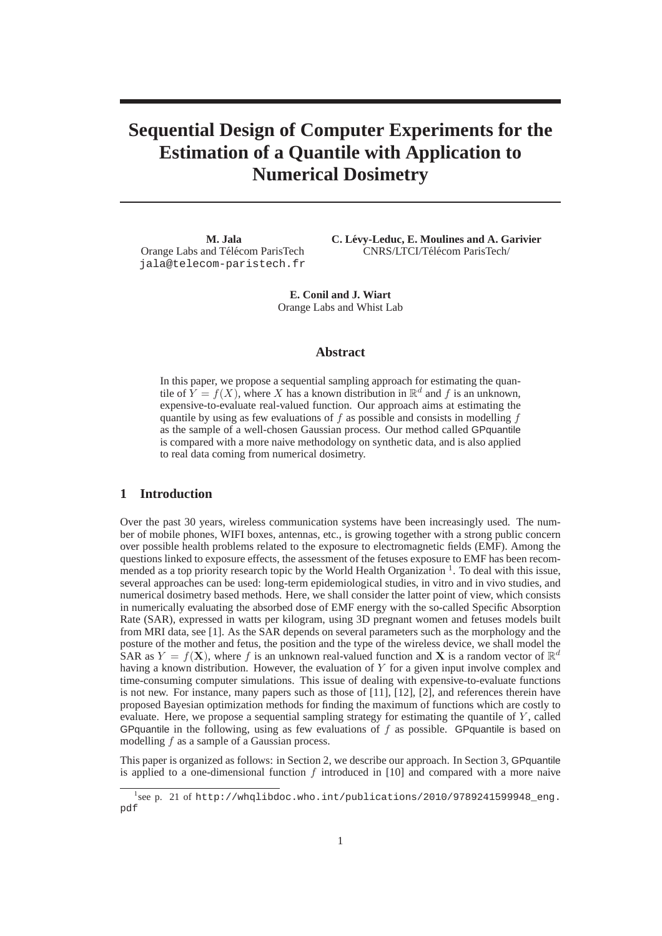# **Sequential Design of Computer Experiments for the Estimation of a Quantile with Application to Numerical Dosimetry**

**M. Jala** Orange Labs and Télécom ParisTech jala@telecom-paristech.fr **C. Levy-Leduc, E. Moulines and A. Garivier ´** CNRS/LTCI/Télécom ParisTech/

**E. Conil and J. Wiart** Orange Labs and Whist Lab

#### **Abstract**

In this paper, we propose a sequential sampling approach for estimating the quantile of  $Y = f(X)$ , where X has a known distribution in  $\mathbb{R}^d$  and f is an unknown, expensive-to-evaluate real-valued function. Our approach aims at estimating the quantile by using as few evaluations of  $f$  as possible and consists in modelling  $f$ as the sample of a well-chosen Gaussian process. Our method called GPquantile is compared with a more naive methodology on synthetic data, and is also applied to real data coming from numerical dosimetry.

## **1 Introduction**

Over the past 30 years, wireless communication systems have been increasingly used. The number of mobile phones, WIFI boxes, antennas, etc., is growing together with a strong public concern over possible health problems related to the exposure to electromagnetic fields (EMF). Among the questions linked to exposure effects, the assessment of the fetuses exposure to EMF has been recommended as a top priority research topic by the World Health Organization<sup>1</sup>. To deal with this issue, several approaches can be used: long-term epidemiological studies, in vitro and in vivo studies, and numerical dosimetry based methods. Here, we shall consider the latter point of view, which consists in numerically evaluating the absorbed dose of EMF energy with the so-called Specific Absorption Rate (SAR), expressed in watts per kilogram, using 3D pregnant women and fetuses models built from MRI data, see [1]. As the SAR depends on several parameters such as the morphology and the posture of the mother and fetus, the position and the type of the wireless device, we shall model the SAR as  $Y = f(\mathbf{X})$ , where f is an unknown real-valued function and X is a random vector of  $\mathbb{R}^d$ having a known distribution. However, the evaluation of Y for a given input involve complex and time-consuming computer simulations. This issue of dealing with expensive-to-evaluate functions is not new. For instance, many papers such as those of [11], [12], [2], and references therein have proposed Bayesian optimization methods for finding the maximum of functions which are costly to evaluate. Here, we propose a sequential sampling strategy for estimating the quantile of  $Y$ , called GPquantile in the following, using as few evaluations of  $f$  as possible. GPquantile is based on modelling f as a sample of a Gaussian process.

This paper is organized as follows: in Section 2, we describe our approach. In Section 3, GPquantile is applied to a one-dimensional function  $f$  introduced in [10] and compared with a more naive

<sup>&</sup>lt;sup>1</sup>see p. 21 of http://whqlibdoc.who.int/publications/2010/9789241599948\_eng. pdf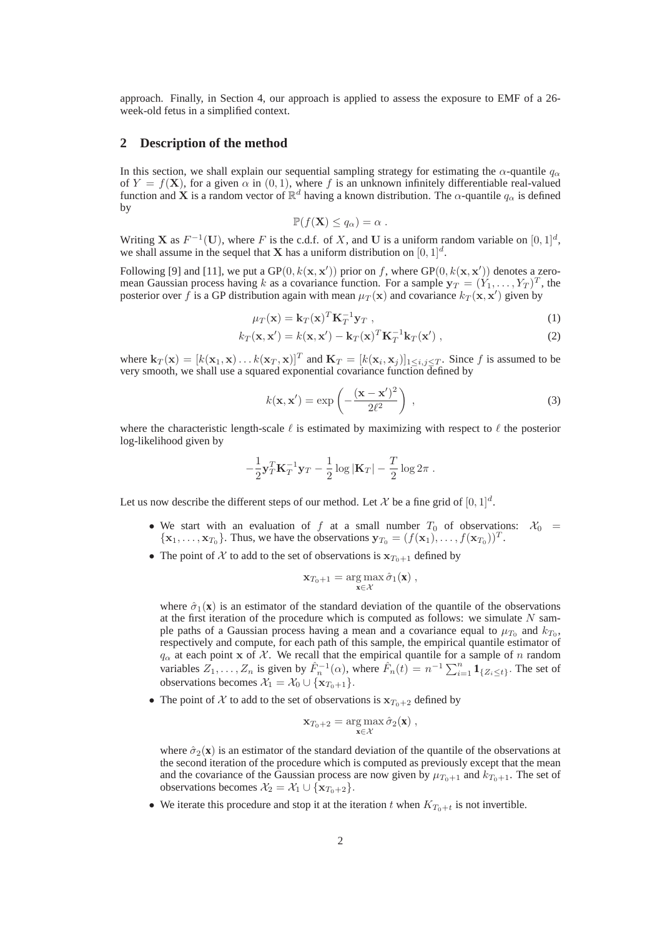approach. Finally, in Section 4, our approach is applied to assess the exposure to EMF of a 26 week-old fetus in a simplified context.

#### **2 Description of the method**

In this section, we shall explain our sequential sampling strategy for estimating the  $\alpha$ -quantile  $q_{\alpha}$ of  $Y = f(\mathbf{X})$ , for a given  $\alpha$  in  $(0, 1)$ , where f is an unknown infinitely differentiable real-valued function and **X** is a random vector of  $\mathbb{R}^d$  having a known distribution. The  $\alpha$ -quantile  $q_\alpha$  is defined by

$$
\mathbb{P}(f(\mathbf{X}) \le q_\alpha) = \alpha.
$$

Writing **X** as  $F^{-1}(\mathbf{U})$ , where F is the c.d.f. of X, and U is a uniform random variable on  $[0,1]^d$ , we shall assume in the sequel that **X** has a uniform distribution on  $[0, 1]^d$ .

Following [9] and [11], we put a  $GP(0, k(x, x'))$  prior on f, where  $GP(0, k(x, x'))$  denotes a zeromean Gaussian process having k as a covariance function. For a sample  $y_T = (Y_1, \ldots, Y_T)^T$ , the posterior over f is a GP distribution again with mean  $\mu_T(\mathbf{x})$  and covariance  $k_T(\mathbf{x}, \mathbf{x}')$  given by

$$
\mu_T(\mathbf{x}) = \mathbf{k}_T(\mathbf{x})^T \mathbf{K}_T^{-1} \mathbf{y}_T , \qquad (1)
$$

$$
k_T(\mathbf{x}, \mathbf{x}') = k(\mathbf{x}, \mathbf{x}') - \mathbf{k}_T(\mathbf{x})^T \mathbf{K}_T^{-1} \mathbf{k}_T(\mathbf{x}'),
$$
\n(2)

where  $\mathbf{k}_T(\mathbf{x}) = [k(\mathbf{x}_1, \mathbf{x}) \dots k(\mathbf{x}_T, \mathbf{x})]^T$  and  $\mathbf{K}_T = [k(\mathbf{x}_i, \mathbf{x}_j)]_{1 \le i, j \le T}$ . Since f is assumed to be very smooth, we shall use a squared exponential covariance function defined by

$$
k(\mathbf{x}, \mathbf{x}') = \exp\left(-\frac{(\mathbf{x} - \mathbf{x}')^2}{2\ell^2}\right) \tag{3}
$$

where the characteristic length-scale  $\ell$  is estimated by maximizing with respect to  $\ell$  the posterior log-likelihood given by

$$
-\frac{1}{2}\mathbf{y}_T^T\mathbf{K}_T^{-1}\mathbf{y}_T - \frac{1}{2}\log|\mathbf{K}_T| - \frac{T}{2}\log 2\pi.
$$

Let us now describe the different steps of our method. Let X be a fine grid of  $[0,1]^d$ .

- We start with an evaluation of f at a small number  $T_0$  of observations:  $\mathcal{X}_0$  =  $\{\mathbf x_1,\ldots,\mathbf x_{T_0}\}$ . Thus, we have the observations  $\mathbf y_{T_0} = (f(\mathbf x_1),\ldots,f(\mathbf x_{T_0}))^T$ .
- The point of X to add to the set of observations is  $x_{T_0+1}$  defined by

$$
\mathbf{x}_{T_0+1} = \arg\max_{\mathbf{x}\in\mathcal{X}} \hat{\sigma}_1(\mathbf{x}),
$$

where  $\hat{\sigma}_1(\mathbf{x})$  is an estimator of the standard deviation of the quantile of the observations at the first iteration of the procedure which is computed as follows: we simulate  $N$  sample paths of a Gaussian process having a mean and a covariance equal to  $\mu_{T_0}$  and  $k_{T_0}$ , respectively and compute, for each path of this sample, the empirical quantile estimator of  $q_{\alpha}$  at each point x of X. We recall that the empirical quantile for a sample of n random variables  $Z_1, \ldots, Z_n$  is given by  $\hat{F}_n^{-1}(\alpha)$ , where  $\hat{F}_n(t) = n^{-1} \sum_{i=1}^n \mathbf{1}_{\{Z_i \le t\}}$ . The set of observations becomes  $\mathcal{X}_1 = \mathcal{X}_0 \cup \{ \mathbf{x}_{T_0+1} \}.$ 

• The point of X to add to the set of observations is  $x_{T_0+2}$  defined by

$$
\mathbf{x}_{T_0+2} = \arg\max_{\mathbf{x}\in\mathcal{X}} \hat{\sigma}_2(\mathbf{x}),
$$

where  $\hat{\sigma}_2(\mathbf{x})$  is an estimator of the standard deviation of the quantile of the observations at the second iteration of the procedure which is computed as previously except that the mean and the covariance of the Gaussian process are now given by  $\mu_{T_0+1}$  and  $k_{T_0+1}$ . The set of observations becomes  $\mathcal{X}_2 = \mathcal{X}_1 \cup \{ \mathbf{x}_{T_0+2} \}.$ 

• We iterate this procedure and stop it at the iteration t when  $K_{T_0+t}$  is not invertible.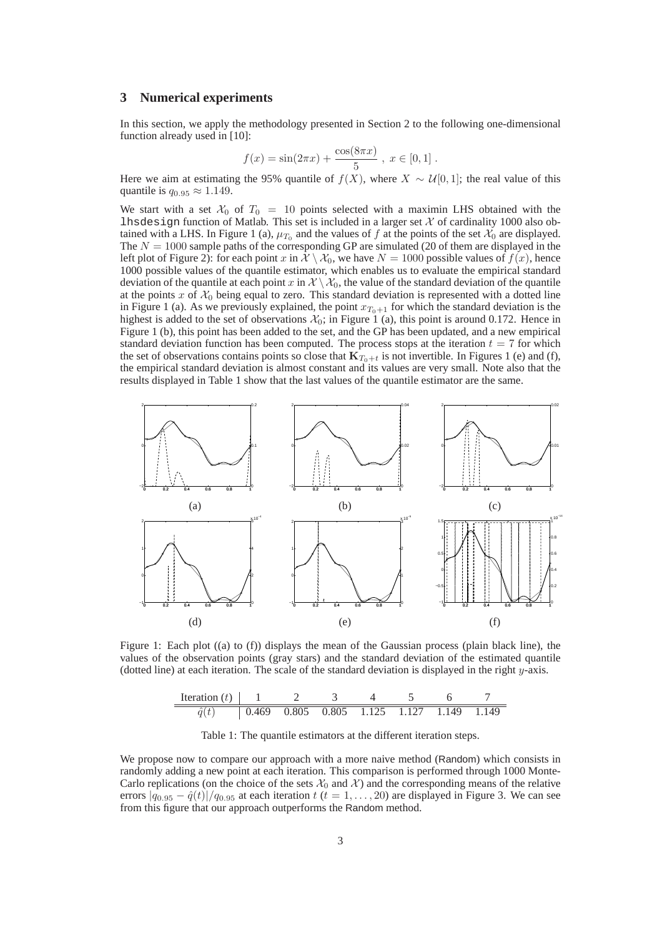### **3 Numerical experiments**

In this section, we apply the methodology presented in Section 2 to the following one-dimensional function already used in [10]:

$$
f(x) = \sin(2\pi x) + \frac{\cos(8\pi x)}{5}, \ x \in [0, 1].
$$

Here we aim at estimating the 95% quantile of  $f(X)$ , where  $X \sim \mathcal{U}[0, 1]$ ; the real value of this quantile is  $q_0$  or  $\approx 1.149$ .

We start with a set  $\mathcal{X}_0$  of  $T_0 = 10$  points selected with a maximin LHS obtained with the lhsdesign function of Matlab. This set is included in a larger set  $X$  of cardinality 1000 also obtained with a LHS. In Figure 1 (a),  $\mu_{T_0}$  and the values of f at the points of the set  $\mathcal{X}_0$  are displayed. The  $N = 1000$  sample paths of the corresponding GP are simulated (20 of them are displayed in the left plot of Figure 2): for each point x in  $\mathcal{X} \setminus \mathcal{X}_0$ , we have  $N = 1000$  possible values of  $f(x)$ , hence 1000 possible values of the quantile estimator, which enables us to evaluate the empirical standard deviation of the quantile at each point x in  $\mathcal{X} \setminus \mathcal{X}_0$ , the value of the standard deviation of the quantile at the points x of  $\mathcal{X}_0$  being equal to zero. This standard deviation is represented with a dotted line in Figure 1 (a). As we previously explained, the point  $x_{T_0+1}$  for which the standard deviation is the highest is added to the set of observations  $\mathcal{X}_0$ ; in Figure 1 (a), this point is around 0.172. Hence in Figure 1 (b), this point has been added to the set, and the GP has been updated, and a new empirical standard deviation function has been computed. The process stops at the iteration  $t = 7$  for which the set of observations contains points so close that  $K_{T_0+t}$  is not invertible. In Figures 1 (e) and (f), the empirical standard deviation is almost constant and its values are very small. Note also that the results displayed in Table 1 show that the last values of the quantile estimator are the same.



Figure 1: Each plot ((a) to (f)) displays the mean of the Gaussian process (plain black line), the values of the observation points (gray stars) and the standard deviation of the estimated quantile (dotted line) at each iteration. The scale of the standard deviation is displayed in the right  $y$ -axis.

| Iteration $(t)$ |  |  |                                           |  |
|-----------------|--|--|-------------------------------------------|--|
|                 |  |  | 0.469 0.805 0.805 1.125 1.127 1.149 1.149 |  |

Table 1: The quantile estimators at the different iteration steps.

We propose now to compare our approach with a more naive method (Random) which consists in randomly adding a new point at each iteration. This comparison is performed through 1000 Monte-Carlo replications (on the choice of the sets  $\mathcal{X}_0$  and  $\mathcal{X}$ ) and the corresponding means of the relative errors  $|q_{0.95} - \hat{q}(t)|/q_{0.95}$  at each iteration  $t$  ( $t = 1, \ldots, 20$ ) are displayed in Figure 3. We can see from this figure that our approach outperforms the Random method.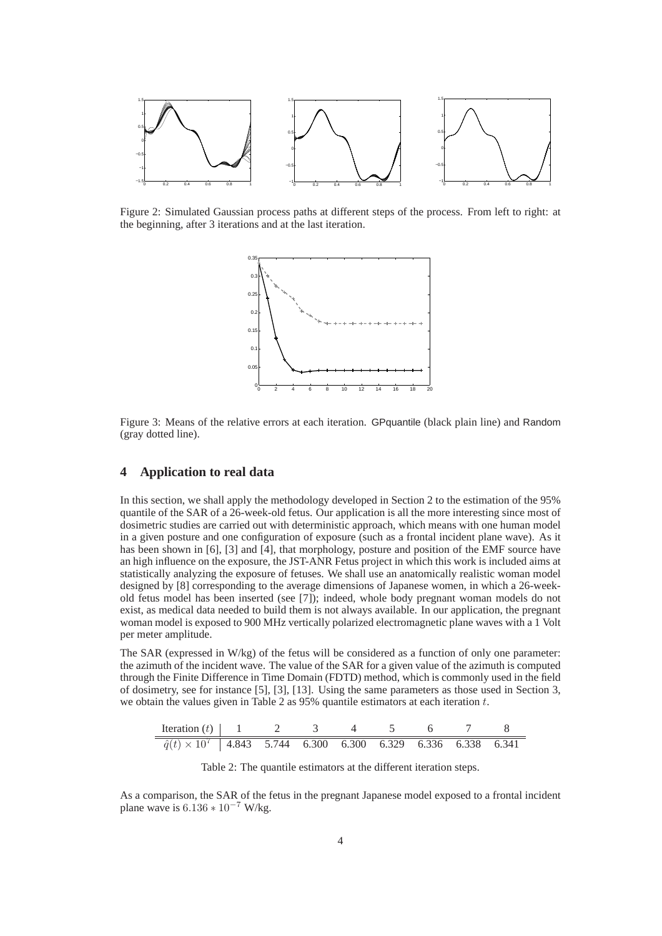

Figure 2: Simulated Gaussian process paths at different steps of the process. From left to right: at the beginning, after 3 iterations and at the last iteration.



Figure 3: Means of the relative errors at each iteration. GPquantile (black plain line) and Random (gray dotted line).

## **4 Application to real data**

In this section, we shall apply the methodology developed in Section 2 to the estimation of the 95% quantile of the SAR of a 26-week-old fetus. Our application is all the more interesting since most of dosimetric studies are carried out with deterministic approach, which means with one human model in a given posture and one configuration of exposure (such as a frontal incident plane wave). As it has been shown in [6], [3] and [4], that morphology, posture and position of the EMF source have an high influence on the exposure, the JST-ANR Fetus project in which this work is included aims at statistically analyzing the exposure of fetuses. We shall use an anatomically realistic woman model designed by [8] corresponding to the average dimensions of Japanese women, in which a 26-weekold fetus model has been inserted (see [7]); indeed, whole body pregnant woman models do not exist, as medical data needed to build them is not always available. In our application, the pregnant woman model is exposed to 900 MHz vertically polarized electromagnetic plane waves with a 1 Volt per meter amplitude.

The SAR (expressed in W/kg) of the fetus will be considered as a function of only one parameter: the azimuth of the incident wave. The value of the SAR for a given value of the azimuth is computed through the Finite Difference in Time Domain (FDTD) method, which is commonly used in the field of dosimetry, see for instance [5], [3], [13]. Using the same parameters as those used in Section 3, we obtain the values given in Table 2 as  $95\%$  quantile estimators at each iteration t.



Table 2: The quantile estimators at the different iteration steps.

As a comparison, the SAR of the fetus in the pregnant Japanese model exposed to a frontal incident plane wave is  $6.136 * 10^{-7}$  W/kg.